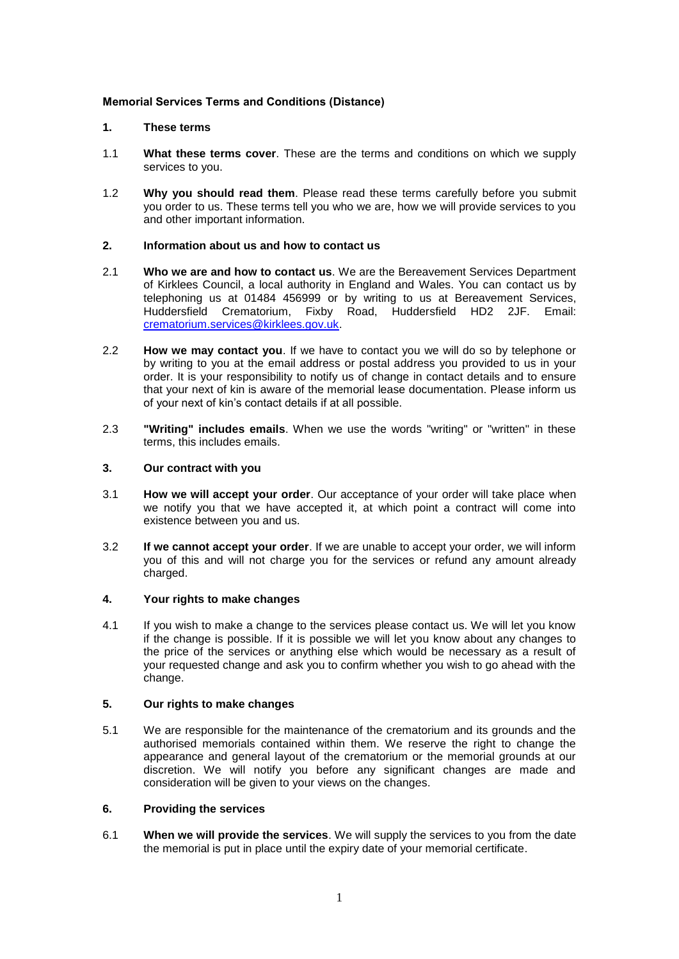# **Memorial Services Terms and Conditions (Distance)**

### **1. These terms**

- 1.1 **What these terms cover**. These are the terms and conditions on which we supply services to you.
- 1.2 **Why you should read them**. Please read these terms carefully before you submit you order to us. These terms tell you who we are, how we will provide services to you and other important information.

## **2. Information about us and how to contact us**

- 2.1 **Who we are and how to contact us**. We are the Bereavement Services Department of Kirklees Council, a local authority in England and Wales. You can contact us by telephoning us at 01484 456999 or by writing to us at Bereavement Services, Huddersfield Crematorium, Fixby Road, Huddersfield HD2 2JF. Email: [crematorium.services@kirklees.gov.uk.](mailto:crematorium.services@kirklees.gov.uk)
- 2.2 **How we may contact you**. If we have to contact you we will do so by telephone or by writing to you at the email address or postal address you provided to us in your order. It is your responsibility to notify us of change in contact details and to ensure that your next of kin is aware of the memorial lease documentation. Please inform us of your next of kin's contact details if at all possible.
- 2.3 **"Writing" includes emails**. When we use the words "writing" or "written" in these terms, this includes emails.

# **3. Our contract with you**

- 3.1 **How we will accept your order**. Our acceptance of your order will take place when we notify you that we have accepted it, at which point a contract will come into existence between you and us.
- 3.2 **If we cannot accept your order**. If we are unable to accept your order, we will inform you of this and will not charge you for the services or refund any amount already charged.

### **4. Your rights to make changes**

4.1 If you wish to make a change to the services please contact us. We will let you know if the change is possible. If it is possible we will let you know about any changes to the price of the services or anything else which would be necessary as a result of your requested change and ask you to confirm whether you wish to go ahead with the change.

## **5. Our rights to make changes**

5.1 We are responsible for the maintenance of the crematorium and its grounds and the authorised memorials contained within them. We reserve the right to change the appearance and general layout of the crematorium or the memorial grounds at our discretion. We will notify you before any significant changes are made and consideration will be given to your views on the changes.

### **6. Providing the services**

6.1 **When we will provide the services**. We will supply the services to you from the date the memorial is put in place until the expiry date of your memorial certificate.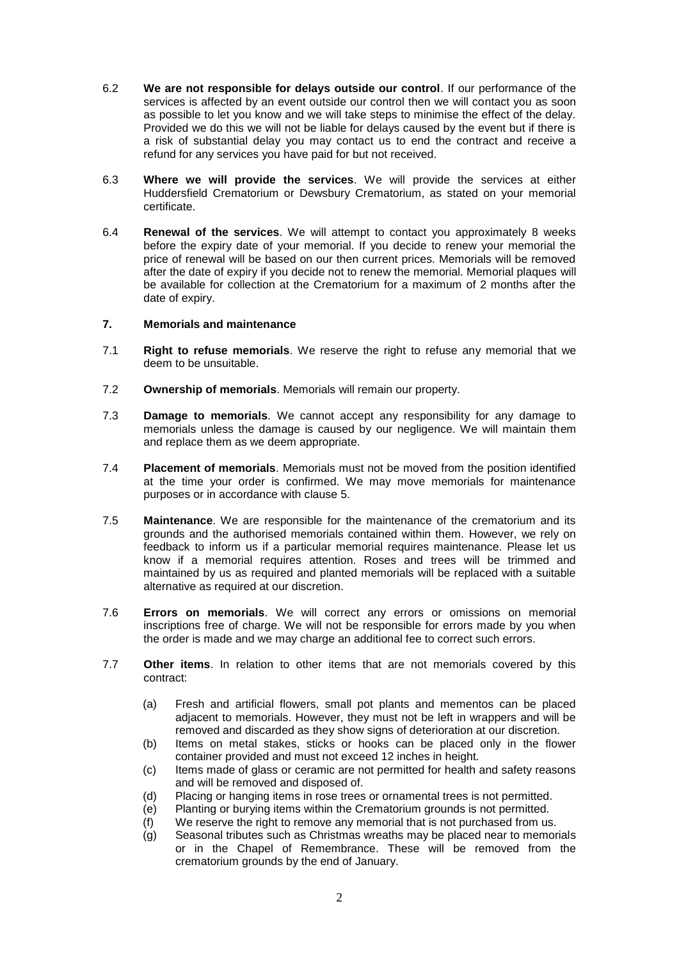- 6.2 **We are not responsible for delays outside our control**. If our performance of the services is affected by an event outside our control then we will contact you as soon as possible to let you know and we will take steps to minimise the effect of the delay. Provided we do this we will not be liable for delays caused by the event but if there is a risk of substantial delay you may contact us to end the contract and receive a refund for any services you have paid for but not received.
- 6.3 **Where we will provide the services**. We will provide the services at either Huddersfield Crematorium or Dewsbury Crematorium, as stated on your memorial certificate.
- 6.4 **Renewal of the services**. We will attempt to contact you approximately 8 weeks before the expiry date of your memorial. If you decide to renew your memorial the price of renewal will be based on our then current prices. Memorials will be removed after the date of expiry if you decide not to renew the memorial. Memorial plaques will be available for collection at the Crematorium for a maximum of 2 months after the date of expiry.

## **7. Memorials and maintenance**

- 7.1 **Right to refuse memorials**. We reserve the right to refuse any memorial that we deem to be unsuitable.
- 7.2 **Ownership of memorials**. Memorials will remain our property.
- 7.3 **Damage to memorials**. We cannot accept any responsibility for any damage to memorials unless the damage is caused by our negligence. We will maintain them and replace them as we deem appropriate.
- 7.4 **Placement of memorials**. Memorials must not be moved from the position identified at the time your order is confirmed. We may move memorials for maintenance purposes or in accordance with clause 5.
- 7.5 **Maintenance**. We are responsible for the maintenance of the crematorium and its grounds and the authorised memorials contained within them. However, we rely on feedback to inform us if a particular memorial requires maintenance. Please let us know if a memorial requires attention. Roses and trees will be trimmed and maintained by us as required and planted memorials will be replaced with a suitable alternative as required at our discretion.
- 7.6 **Errors on memorials**. We will correct any errors or omissions on memorial inscriptions free of charge. We will not be responsible for errors made by you when the order is made and we may charge an additional fee to correct such errors.
- 7.7 **Other items**. In relation to other items that are not memorials covered by this contract:
	- (a) Fresh and artificial flowers, small pot plants and mementos can be placed adjacent to memorials. However, they must not be left in wrappers and will be removed and discarded as they show signs of deterioration at our discretion.
	- (b) Items on metal stakes, sticks or hooks can be placed only in the flower container provided and must not exceed 12 inches in height.
	- (c) Items made of glass or ceramic are not permitted for health and safety reasons and will be removed and disposed of.
	- (d) Placing or hanging items in rose trees or ornamental trees is not permitted.
	- (e) Planting or burying items within the Crematorium grounds is not permitted.
	- (f) We reserve the right to remove any memorial that is not purchased from us.
	- (g) Seasonal tributes such as Christmas wreaths may be placed near to memorials or in the Chapel of Remembrance. These will be removed from the crematorium grounds by the end of January.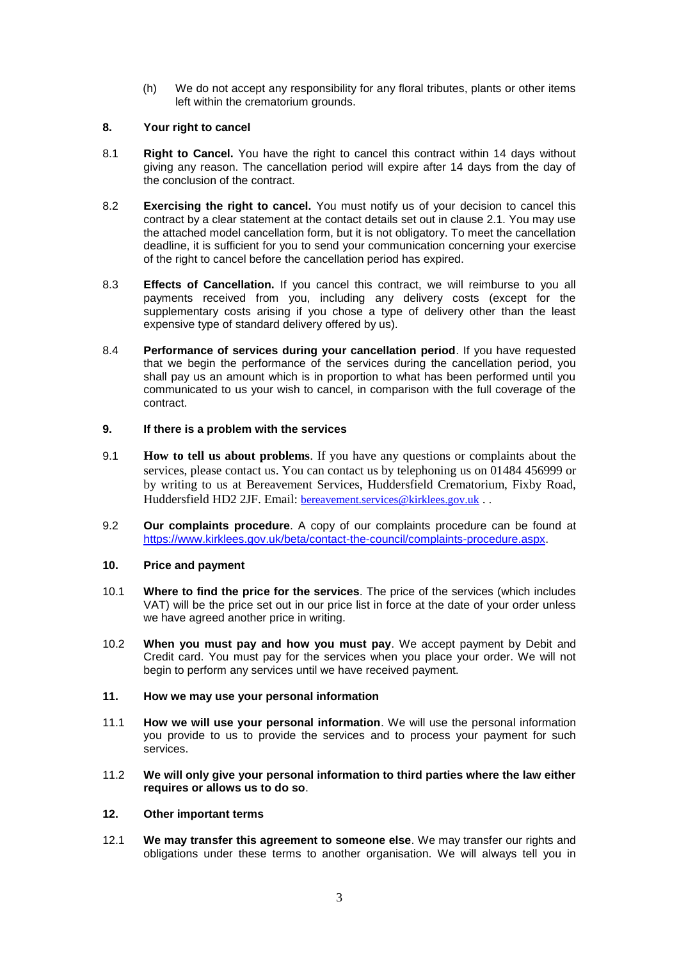(h) We do not accept any responsibility for any floral tributes, plants or other items left within the crematorium grounds.

# **8. Your right to cancel**

- 8.1 **Right to Cancel.** You have the right to cancel this contract within 14 days without giving any reason. The cancellation period will expire after 14 days from the day of the conclusion of the contract.
- 8.2 **Exercising the right to cancel.** You must notify us of your decision to cancel this contract by a clear statement at the contact details set out in clause 2.1. You may use the attached model cancellation form, but it is not obligatory. To meet the cancellation deadline, it is sufficient for you to send your communication concerning your exercise of the right to cancel before the cancellation period has expired.
- 8.3 **Effects of Cancellation.** If you cancel this contract, we will reimburse to you all payments received from you, including any delivery costs (except for the supplementary costs arising if you chose a type of delivery other than the least expensive type of standard delivery offered by us).
- 8.4 **Performance of services during your cancellation period**. If you have requested that we begin the performance of the services during the cancellation period, you shall pay us an amount which is in proportion to what has been performed until you communicated to us your wish to cancel, in comparison with the full coverage of the contract.

# **9. If there is a problem with the services**

- 9.1 **How to tell us about problems**. If you have any questions or complaints about the services, please contact us. You can contact us by telephoning us on 01484 456999 or by writing to us at Bereavement Services, Huddersfield Crematorium, Fixby Road, Huddersfield HD2 2JF. Email: [bereavement.services@kirklees.gov.uk](mailto:bereavement.services@kirklees.gov.uk) . .
- 9.2 **Our complaints procedure**. A copy of our complaints procedure can be found at [https://www.kirklees.gov.uk/beta/contact-the-council/complaints-procedure.aspx.](https://www.kirklees.gov.uk/beta/contact-the-council/complaints-procedure.aspx)

# **10. Price and payment**

- 10.1 **Where to find the price for the services**. The price of the services (which includes VAT) will be the price set out in our price list in force at the date of your order unless we have agreed another price in writing.
- 10.2 **When you must pay and how you must pay**. We accept payment by Debit and Credit card. You must pay for the services when you place your order. We will not begin to perform any services until we have received payment.

## **11. How we may use your personal information**

- 11.1 **How we will use your personal information**. We will use the personal information you provide to us to provide the services and to process your payment for such services.
- 11.2 **We will only give your personal information to third parties where the law either requires or allows us to do so**.

### **12. Other important terms**

12.1 **We may transfer this agreement to someone else**. We may transfer our rights and obligations under these terms to another organisation. We will always tell you in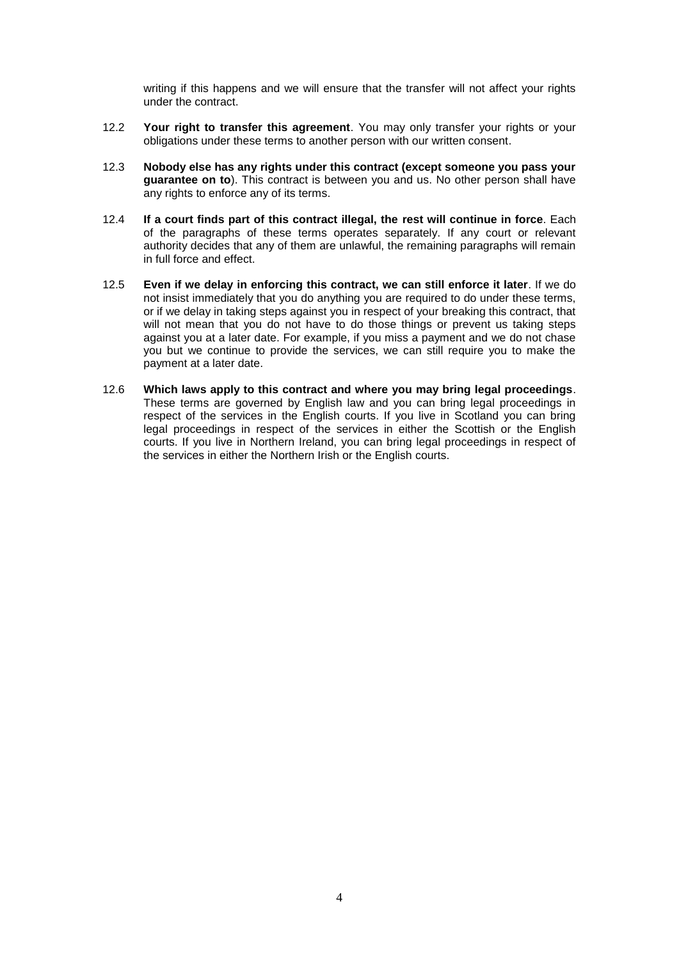writing if this happens and we will ensure that the transfer will not affect your rights under the contract.

- 12.2 **Your right to transfer this agreement**. You may only transfer your rights or your obligations under these terms to another person with our written consent.
- 12.3 **Nobody else has any rights under this contract (except someone you pass your guarantee on to**). This contract is between you and us. No other person shall have any rights to enforce any of its terms.
- 12.4 **If a court finds part of this contract illegal, the rest will continue in force**. Each of the paragraphs of these terms operates separately. If any court or relevant authority decides that any of them are unlawful, the remaining paragraphs will remain in full force and effect.
- 12.5 **Even if we delay in enforcing this contract, we can still enforce it later**. If we do not insist immediately that you do anything you are required to do under these terms, or if we delay in taking steps against you in respect of your breaking this contract, that will not mean that you do not have to do those things or prevent us taking steps against you at a later date. For example, if you miss a payment and we do not chase you but we continue to provide the services, we can still require you to make the payment at a later date.
- 12.6 **Which laws apply to this contract and where you may bring legal proceedings**. These terms are governed by English law and you can bring legal proceedings in respect of the services in the English courts. If you live in Scotland you can bring legal proceedings in respect of the services in either the Scottish or the English courts. If you live in Northern Ireland, you can bring legal proceedings in respect of the services in either the Northern Irish or the English courts.